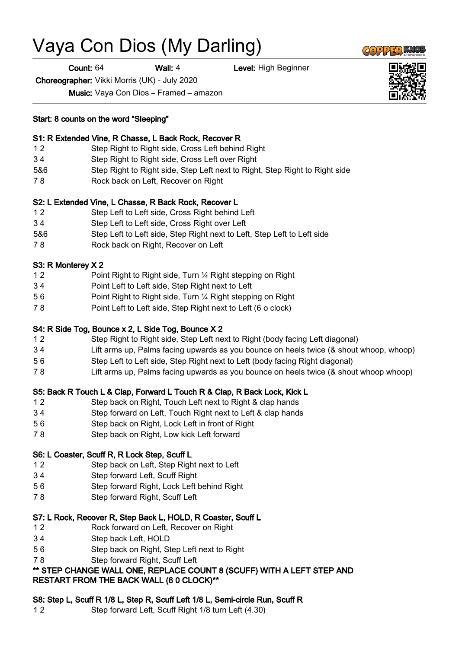# Vaya Con Dios (My Darling)

Count: 64 Wall: 4 Level: High Beginner

Choreographer: Vikki Morris (UK) - July 2020

Music: Vaya Con Dios – Framed – amazon

#### Start: 8 counts on the word "Sleeping"

## S1: R Extended Vine, R Chasse, L Back Rock, Recover R

- 1 2 Step Right to Right side, Cross Left behind Right
- 3 4 Step Right to Right side, Cross Left over Right
- 5&6 Step Right to Right side, Step Left next to Right, Step Right to Right side
- 7 8 Rock back on Left, Recover on Right

#### S2: L Extended Vine, L Chasse, R Back Rock, Recover L

- 1 2 Step Left to Left side, Cross Right behind Left
- 3 4 Step Left to Left side, Cross Right over Left
- 5&6 Step Left to Left side, Step Right next to Left, Step Left to Left side
- 7 8 Rock back on Right, Recover on Left

## S3: R Monterey X 2

- 1 2 Point Right to Right side, Turn ¼ Right stepping on Right
- 3 4 Point Left to Left side, Step Right next to Left
- 5 6 Point Right to Right side, Turn ¼ Right stepping on Right
- 7 8 Point Left to Left side, Step Right next to Left (6 o clock)

## S4: R Side Tog, Bounce x 2, L Side Tog, Bounce X 2

- 1 2 Step Right to Right side, Step Left next to Right (body facing Left diagonal)
- 3 4 Lift arms up, Palms facing upwards as you bounce on heels twice (& shout whoop, whoop)
- 5 6 Step Left to Left side, Step Right next to Left (body facing Right diagonal)
- 7 8 Lift arms up, Palms facing upwards as you bounce on heels twice (& shout whoop whoop)

## S5: Back R Touch L & Clap, Forward L Touch R & Clap, R Back Lock, Kick L

- 1 2 Step back on Right, Touch Left next to Right & clap hands
- 3 4 Step forward on Left, Touch Right next to Left & clap hands
- 5 6 Step back on Right, Lock Left in front of Right
- 7 8 Step back on Right, Low kick Left forward

## S6: L Coaster, Scuff R, R Lock Step, Scuff L

- 1 2 Step back on Left, Step Right next to Left
- 3 4 Step forward Left, Scuff Right
- 5 6 Step forward Right, Lock Left behind Right
- 7 8 Step forward Right, Scuff Left

## S7: L Rock, Recover R, Step Back L, HOLD, R Coaster, Scuff L

- 12 Rock forward on Left, Recover on Right
- 3 4 Step back Left, HOLD
- 5 6 Step back on Right, Step Left next to Right
- 7 8 Step forward Right, Scuff Left

## \*\* STEP CHANGE WALL ONE, REPLACE COUNT 8 (SCUFF) WITH A LEFT STEP AND RESTART FROM THE BACK WALL (6 0 CLOCK)\*\*

## S8: Step L, Scuff R 1/8 L, Step R, Scuff Left 1/8 L, Semi-circle Run, Scuff R

1 2 Step forward Left, Scuff Right 1/8 turn Left (4.30)